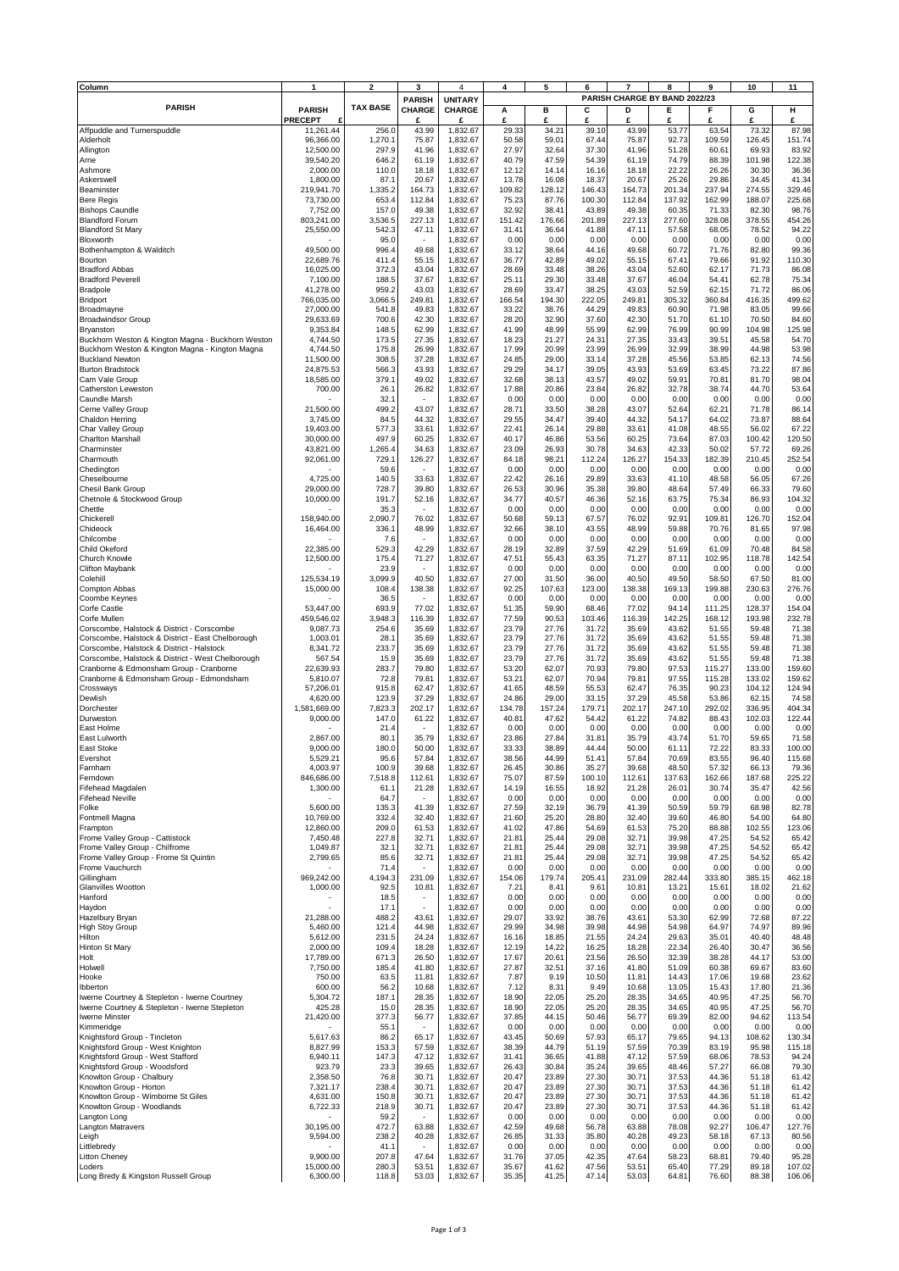| Column                                                                                         |                          | $\overline{2}$   | 3                                    | 4                               | 4               | 5               | 6                       | $\overline{7}$  | 8                                  | 9                | 10               | 11               |
|------------------------------------------------------------------------------------------------|--------------------------|------------------|--------------------------------------|---------------------------------|-----------------|-----------------|-------------------------|-----------------|------------------------------------|------------------|------------------|------------------|
| <b>PARISH</b>                                                                                  | <b>PARISH</b>            | <b>TAX BASE</b>  | <b>PARISH</b><br><b>CHARGE</b>       | <b>UNITARY</b><br><b>CHARGE</b> | Α               | в               | С                       | D               | PARISH CHARGE BY BAND 2022/23<br>Е | F                | G                | н                |
|                                                                                                | <b>PRECEPT</b>           |                  | £                                    | £                               | £               | £               | £                       | £               | £                                  | £                | £                | £                |
| Affpuddle and Turnerspuddle                                                                    | 11,261.44                | 256.0            | 43.99                                | 1,832.67                        | 29.33           | 34.21           | 39.10                   | 43.99           | 53.77                              | 63.54            | 73.32            | 87.98            |
| Alderholt<br>Allington                                                                         | 96,366.00<br>12,500.00   | 1,270.1<br>297.9 | 75.87<br>41.96                       | 1,832.67<br>1,832.67            | 50.58<br>27.97  | 59.01<br>32.64  | 67.44<br>37.30          | 75.87<br>41.96  | 92.73<br>51.28                     | 109.59<br>60.61  | 126.45<br>69.93  | 151.74<br>83.92  |
| Arne                                                                                           | 39,540.20                | 646.2            | 61.19                                | 1,832.67                        | 40.79           | 47.59           | 54.39                   | 61.19           | 74.79                              | 88.39            | 101.98           | 122.38           |
| Ashmore<br>Askerswell                                                                          | 2.000.00<br>1,800.00     | 110.0<br>87.1    | 18.18<br>20.67                       | 1,832.67<br>1,832.67            | 12.12<br>13.78  | 14.14<br>16.08  | 16.16<br>18.37          | 18.18<br>20.67  | 22.22<br>25.26                     | 26.26<br>29.86   | 30.30<br>34.45   | 36.36<br>41.34   |
| Beaminster                                                                                     | 219,941.70               | 1,335.2          | 164.73                               | 1,832.67                        | 109.82          | 128.12          | 146.43                  | 164.73          | 201.34                             | 237.94           | 274.55           | 329.46           |
| <b>Bere Regis</b><br><b>Bishops Caundle</b>                                                    | 73,730.00<br>7,752.00    | 653.4<br>157.0   | 112.84<br>49.38                      | 1,832.67<br>1,832.67            | 75.23<br>32.92  | 87.76<br>38.41  | 100.30<br>43.89         | 112.84<br>49.38 | 137.92<br>60.35                    | 162.99<br>71.33  | 188.07<br>82.30  | 225.68<br>98.76  |
| <b>Blandford Forum</b>                                                                         | 803,241.00               | 3,536.5          | 227.13                               | 1,832.67                        | 151.42          | 176.66          | 201.89                  | 227.13          | 277.60                             | 328.08           | 378.55           | 454.26           |
| <b>Blandford St Mary</b>                                                                       | 25,550.00                | 542.3            | 47.11                                | 1,832.67                        | 31.41           | 36.64           | 41.88                   | 47.11<br>0.00   | 57.58                              | 68.05            | 78.52            | 94.22            |
| Bloxworth<br>Bothenhampton & Walditch                                                          | 49,500.00                | 95.0<br>996.4    | 49.68                                | 1,832.67<br>1,832.67            | 0.00<br>33.12   | 0.00<br>38.64   | 0.00<br>44.16           | 49.68           | 0.00<br>60.72                      | 0.00<br>71.76    | 0.00<br>82.80    | 0.00<br>99.36    |
| Bourton                                                                                        | 22,689.76                | 411.4            | 55.15                                | 1,832.67                        | 36.77           | 42.89           | 49.02                   | 55.15           | 67.41                              | 79.66            | 91.92            | 110.30           |
| <b>Bradford Abbas</b><br><b>Bradford Peverell</b>                                              | 16,025.00<br>7,100.00    | 372.3<br>188.5   | 43.04<br>37.67                       | 1,832.67<br>1,832.67            | 28.69<br>25.11  | 33.48<br>29.30  | 38.26<br>33.48          | 43.04<br>37.67  | 52.60<br>46.04                     | 62.17<br>54.41   | 71.73<br>62.78   | 86.08<br>75.34   |
| Bradpole                                                                                       | 41,278.00                | 959.2            | 43.03                                | 1,832.67                        | 28.69           | 33.47           | 38.25                   | 43.03           | 52.59                              | 62.15            | 71.72            | 86.06            |
| Bridport<br>Broadmayne                                                                         | 766,035.00<br>27,000.00  | 3,066.5<br>541.8 | 249.81<br>49.83                      | 1,832.67<br>1,832.67            | 166.54<br>33.22 | 194.30<br>38.76 | 222.05<br>44.29         | 249.81<br>49.83 | 305.32<br>60.90                    | 360.84<br>71.98  | 416.35<br>83.05  | 499.62<br>99.66  |
| <b>Broadwindsor Group</b>                                                                      | 29,633.69                | 700.6            | 42.30                                | 1,832.67                        | 28.20           | 32.90           | 37.60                   | 42.30           | 51.70                              | 61.10            | 70.50            | 84.60            |
| Bryanston<br>Buckhorn Weston & Kington Magna - Buckhorn Weston                                 | 9,353.84<br>4,744.50     | 148.5<br>173.5   | 62.99<br>27.35                       | 1,832.67<br>1,832.67            | 41.99<br>18.23  | 48.99<br>21.27  | 55.99<br>24.31          | 62.99<br>27.35  | 76.99<br>33.43                     | 90.99<br>39.51   | 104.98<br>45.58  | 125.98<br>54.70  |
| Buckhorn Weston & Kington Magna - Kington Magna                                                | 4,744.50                 | 175.8            | 26.99                                | 1,832.67                        | 17.99           | 20.99           | 23.99                   | 26.99           | 32.99                              | 38.99            | 44.98            | 53.98            |
| <b>Buckland Newton</b>                                                                         | 11,500.00                | 308.5            | 37.28                                | 1,832.67                        | 24.85           | 29.00           | 33.14                   | 37.28           | 45.56                              | 53.85            | 62.13            | 74.56            |
| <b>Burton Bradstock</b><br>Cam Vale Group                                                      | 24,875.53<br>18,585.00   | 566.3<br>379.1   | 43.93<br>49.02                       | 1,832.67<br>1.832.67            | 29.29<br>32.68  | 34.17<br>38.13  | 39.05<br>43.57          | 43.93<br>49.02  | 53.69<br>59.91                     | 63.45<br>70.81   | 73.22<br>81.70   | 87.86<br>98.04   |
| Catherston Leweston                                                                            | 700.00                   | 26.1             | 26.82                                | 1,832.67                        | 17.88           | 20.86           | 23.84                   | 26.82           | 32.78                              | 38.74            | 44.70            | 53.64            |
| Caundle Marsh<br>Cerne Valley Group                                                            | 21,500.00                | 32.1<br>499.2    | $\overline{\phantom{a}}$<br>43.07    | 1,832.67<br>1,832.67            | 0.00<br>28.71   | 0.00<br>33.50   | 0.00<br>38.28           | 0.00<br>43.07   | 0.00<br>52.64                      | 0.00<br>62.21    | 0.00<br>71.78    | 0.00<br>86.14    |
| Chaldon Herring                                                                                | 3,745.00                 | 84.5             | 44.32                                | 1,832.67                        | 29.55           | 34.47           | 39.40                   | 44.32           | 54.17                              | 64.02            | 73.87            | 88.64            |
| Char Valley Group                                                                              | 19,403.00                | 577.3            | 33.61                                | 1,832.67                        | 22.41           | 26.14           | 29.88                   | 33.61           | 41.08                              | 48.55            | 56.02            | 67.22            |
| <b>Charlton Marshall</b><br>Charminster                                                        | 30,000.00<br>43,821.00   | 497.9<br>1,265.4 | 60.25<br>34.63                       | 1,832.67<br>1,832.67            | 40.17<br>23.09  | 46.86<br>26.93  | 53.56<br>30.78          | 60.25<br>34.63  | 73.64<br>42.33                     | 87.03<br>50.02   | 100.42<br>57.72  | 120.50<br>69.26  |
| Charmouth                                                                                      | 92,061.00                | 729.1            | 126.27                               | 1,832.67                        | 84.18           | 98.21           | 112.24                  | 126.27          | 154.33                             | 182.39           | 210.45           | 252.54           |
| Chedington<br>Cheselbourne                                                                     | 4,725.00                 | 59.6<br>140.5    | 33.63                                | 1,832.67<br>1,832.67            | 0.00<br>22.42   | 0.00<br>26.16   | 0.00<br>29.89           | 0.00<br>33.63   | 0.00<br>41.10                      | 0.00<br>48.58    | 0.00<br>56.05    | 0.00<br>67.26    |
| Chesil Bank Group                                                                              | 29,000.00                | 728.7            | 39.80                                | 1,832.67                        | 26.53           | 30.96           | 35.38                   | 39.80           | 48.64                              | 57.49            | 66.33            | 79.60            |
| Chetnole & Stockwood Group                                                                     | 10,000.00                | 191.7            | 52.16                                | 1,832.67                        | 34.77           | 40.57           | 46.36                   | 52.16           | 63.75                              | 75.34            | 86.93            | 104.32           |
| Chettle<br>Chickerell                                                                          | 158,940.00               | 35.3<br>2,090.7  | $\overline{\phantom{a}}$<br>76.02    | 1,832.67<br>1,832.67            | 0.00<br>50.68   | 0.00<br>59.13   | 0.00<br>67.57           | 0.00<br>76.02   | 0.00<br>92.91                      | 0.00<br>109.81   | 0.00<br>126.70   | 0.00<br>152.04   |
| Chideock                                                                                       | 16,464.00                | 336.1            | 48.99                                | 1,832.67                        | 32.66           | 38.10           | 43.55                   | 48.99           | 59.88                              | 70.76            | 81.65            | 97.98            |
| Chilcombe<br>Child Okeford                                                                     | 22,385.00                | 7.6<br>529.3     | 42.29                                | 1,832.67<br>1,832.67            | 0.00<br>28.19   | 0.00<br>32.89   | 0.00<br>37.59           | 0.00<br>42.29   | 0.00<br>51.69                      | 0.00<br>61.09    | 0.00<br>70.48    | 0.00<br>84.58    |
| Church Knowle                                                                                  | 12,500.00                | 175.4            | 71.27                                | 1,832.67                        | 47.51           | 55.43           | 63.35                   | 71.27           | 87.11                              | 102.95           | 118.78           | 142.54           |
| <b>Clifton Maybank</b>                                                                         |                          | 23.9             |                                      | 1,832.67                        | 0.00            | 0.00            | 0.00                    | 0.00            | 0.00                               | 0.00             | 0.00             | 0.00             |
| Colehill<br>Compton Abbas                                                                      | 125,534.19<br>15,000.00  | 3,099.9<br>108.4 | 40.50<br>138.38                      | 1,832.67<br>1,832.67            | 27.00<br>92.25  | 31.50<br>107.63 | 36.00<br>123.00         | 40.50<br>138.38 | 49.50<br>169.13                    | 58.50<br>199.88  | 67.50<br>230.63  | 81.00<br>276.76  |
| Coombe Keynes                                                                                  |                          | 36.5             | $\overline{\phantom{a}}$             | 1,832.67                        | 0.00            | 0.00            | 0.00                    | 0.00            | 0.00                               | 0.00             | 0.00             | 0.00             |
| Corfe Castle<br>Corfe Mullen                                                                   | 53,447.00<br>459,546.02  | 693.9<br>3,948.3 | 77.02<br>116.39                      | 1,832.67<br>1,832.67            | 51.35<br>77.59  | 59.90<br>90.53  | 68.46<br>103.46         | 77.02<br>116.39 | 94.14<br>142.25                    | 111.25<br>168.12 | 128.37<br>193.98 | 154.04<br>232.78 |
| Corscombe, Halstock & District - Corscombe                                                     | 9,087.73                 | 254.6            | 35.69                                | 1,832.67                        | 23.79           | 27.76           | 31.72                   | 35.69           | 43.62                              | 51.55            | 59.48            | 71.38            |
| Corscombe, Halstock & District - East Chelborough<br>Corscombe, Halstock & District - Halstock | 1,003.01<br>8,341.72     | 28.1<br>233.7    | 35.69<br>35.69                       | 1,832.67<br>1,832.67            | 23.79<br>23.79  | 27.76<br>27.76  | 31.72<br>31.72          | 35.69<br>35.69  | 43.62<br>43.62                     | 51.55<br>51.55   | 59.48<br>59.48   | 71.38<br>71.38   |
| Corscombe, Halstock & District - West Chelborough                                              | 567.54                   | 15.9             | 35.69                                | 1,832.67                        | 23.79           | 27.76           | 31.72                   | 35.69           | 43.62                              | 51.55            | 59.48            | 71.38            |
| Cranborne & Edmonsham Group - Cranborne                                                        | 22,639.93                | 283.7            | 79.80                                | 1,832.67                        | 53.20           | 62.07           | 70.93                   | 79.80           | 97.53                              | 115.27           | 133.00           | 159.60           |
| Cranborne & Edmonsham Group - Edmondsham<br>Crossways                                          | 5.810.07<br>57,206.01    | 72.8<br>915.8    | 79.81<br>62.47                       | 1,832.67<br>1,832.67            | 53.21<br>41.65  | 62.07<br>48.59  | 70.94<br>55.53          | 79.81<br>62.47  | 97.55<br>76.35                     | 115.28<br>90.23  | 133.02<br>104.12 | 159.62<br>124.94 |
| Dewlish                                                                                        | 4,620.00                 | 123.9            | 37.29                                | 1,832.67                        | 24.86           | 29.00           | 33.15                   | 37.29           | 45.58                              | 53.86            | 62.15            | 74.58            |
| Dorchester<br>Durweston                                                                        | 1,581,669.00<br>9,000.00 | 7,823.3<br>147.0 | 202.17<br>61.22                      | 1,832.67<br>1,832.67            | 134.78<br>40.81 | 157.24<br>47.62 | 179.71<br>54.42         | 202.17<br>61.22 | 247.10<br>74.82                    | 292.02<br>88.43  | 336.95<br>102.03 | 404.34<br>122.44 |
| East Holme                                                                                     |                          | 21.4             |                                      | 1,832.67                        | 0.00            | 0.00            | 0.00                    | 0.00            | 0.00                               | 0.00             | 0.00             | 0.00             |
| East Lulworth                                                                                  | 2,867.00                 | 80.1             | 35.79                                | 1,832.67                        | 23.86           | 27.84           | 31.81                   | 35.79           | 43.74                              | 51.70            | 59.65            | 71.58            |
| East Stoke<br>Evershot                                                                         | 9.000.00<br>5,529.21     | 180.0<br>95.E    | 50.00<br>57.84                       | 1,832.67<br>1,832.67            | 33.33<br>38.56  | 38.89<br>44.99  | 44.44<br>$51.4^{\circ}$ | 50.00<br>57.84  | 61.11<br>70.69                     | 72.22<br>83.55   | 83.33<br>96.40   | 100.00<br>115.68 |
| Farnham                                                                                        | 4,003.97                 | 100.9            | 39.68                                | 1,832.67                        | 26.45           | 30.86           | 35.27                   | 39.68           | 48.50                              | 57.32            | 66.13            | 79.36            |
| Ferndown<br>Fifehead Magdalen                                                                  | 846,686.00<br>1,300.00   | 7,518.8<br>61.1  | 112.61<br>21.28                      | 1,832.67<br>1,832.67            | 75.07<br>14.19  | 87.59<br>16.55  | 100.10<br>18.92         | 112.61<br>21.28 | 137.63<br>26.01                    | 162.66<br>30.74  | 187.68<br>35.47  | 225.22<br>42.56  |
| <b>Fifehead Neville</b>                                                                        |                          | 64.7             | $\blacksquare$                       | 1,832.67                        | 0.00            | 0.00            | 0.00                    | 0.00            | 0.00                               | 0.00             | 0.00             | 0.00             |
| Folke                                                                                          | 5,600.00                 | 135.3            | 41.39                                | 1,832.67                        | 27.59           | 32.19           | 36.79                   | 41.39           | 50.59                              | 59.79            | 68.98            | 82.78            |
| Fontmell Magna<br>Frampton                                                                     | 10,769.00<br>12,860.00   | 332.4<br>209.0   | 32.40<br>61.53                       | 1,832.67<br>1,832.67            | 21.60<br>41.02  | 25.20<br>47.86  | 28.80<br>54.69          | 32.40<br>61.53  | 39.60<br>75.20                     | 46.80<br>88.88   | 54.00<br>102.55  | 64.80<br>123.06  |
| Frome Valley Group - Cattistock                                                                | 7,450.48                 | 227.8            | 32.71                                | 1,832.67                        | 21.81           | 25.44           | 29.08                   | 32.71           | 39.98                              | 47.25            | 54.52            | 65.42            |
| Frome Valley Group - Chilfrome<br>Frome Valley Group - Frome St Quintin                        | 1,049.87<br>2,799.65     | 32.1<br>85.6     | 32.71<br>32.71                       | 1,832.67<br>1,832.67            | 21.81<br>21.81  | 25.44<br>25.44  | 29.08<br>29.08          | 32.71<br>32.71  | 39.98<br>39.98                     | 47.25<br>47.25   | 54.52<br>54.52   | 65.42<br>65.42   |
| Frome Vauchurch                                                                                |                          | 71.4             | $\overline{\phantom{a}}$             | 1,832.67                        | 0.00            | 0.00            | 0.00                    | 0.00            | 0.00                               | 0.00             | 0.00             | 0.00             |
| Gillingham<br>Glanvilles Wootton                                                               | 969,242.00<br>1,000.00   | 4,194.3<br>92.5  | 231.09<br>10.81                      | 1,832.67<br>1,832.67            | 154.06<br>7.21  | 179.74<br>8.41  | 205.41<br>9.61          | 231.09<br>10.81 | 282.44<br>13.21                    | 333.80<br>15.61  | 385.15<br>18.02  | 462.18<br>21.62  |
| Hanford                                                                                        |                          | 18.5             | ٠                                    | 1,832.67                        | 0.00            | 0.00            | 0.00                    | 0.00            | 0.00                               | 0.00             | 0.00             | 0.00             |
| Haydon<br>Hazelbury Bryan                                                                      | 21,288.00                | 17.1<br>488.2    | $\mathcal{L}_{\mathcal{A}}$<br>43.61 | 1,832.67<br>1,832.67            | 0.00<br>29.07   | 0.00<br>33.92   | 0.00<br>38.76           | 0.00<br>43.61   | 0.00<br>53.30                      | 0.00<br>62.99    | 0.00<br>72.68    | 0.00<br>87.22    |
| High Stoy Group                                                                                | 5,460.00                 | 121.4            | 44.98                                | 1,832.67                        | 29.99           | 34.98           | 39.98                   | 44.98           | 54.98                              | 64.97            | 74.97            | 89.96            |
| Hilton                                                                                         | 5,612.00                 | 231.5            | 24.24                                | 1,832.67                        | 16.16           | 18.85           | 21.55                   | 24.24           | 29.63                              | 35.01            | 40.40            | 48.48            |
| Hinton St Mary<br>Holt                                                                         | 2,000.00<br>17,789.00    | 109.4<br>671.3   | 18.28<br>26.50                       | 1,832.67<br>1,832.67            | 12.19<br>17.67  | 14.22<br>20.61  | 16.25<br>23.56          | 18.28<br>26.50  | 22.34<br>32.39                     | 26.40<br>38.28   | 30.47<br>44.17   | 36.56<br>53.00   |
| Holwell                                                                                        | 7,750.00                 | 185.4            | 41.80                                | 1,832.67                        | 27.87           | 32.51           | 37.16                   | 41.80           | 51.09                              | 60.38            | 69.67            | 83.60            |
| Hooke                                                                                          | 750.00                   | 63.5             | 11.81                                | 1,832.67                        | 7.87            | 9.19            | 10.50<br>9.49           | 11.81<br>10.68  | 14.43                              | 17.06            | 19.68            | 23.62            |
| Ibberton<br>Iwerne Courtney & Stepleton - Iwerne Courtney                                      | 600.00<br>5,304.72       | 56.2<br>187.1    | 10.68<br>28.35                       | 1,832.67<br>1,832.67            | 7.12<br>18.90   | 8.31<br>22.05   | 25.20                   | 28.35           | 13.05<br>34.65                     | 15.43<br>40.95   | 17.80<br>47.25   | 21.36<br>56.70   |
| Iwerne Courtney & Stepleton - Iwerne Stepleton                                                 | 425.28                   | 15.0             | 28.35                                | 1,832.67                        | 18.90           | 22.05           | 25.20                   | 28.35           | 34.65                              | 40.95            | 47.25            | 56.70            |
| Iwerne Minster<br>Kimmeridge                                                                   | 21,420.00                | 377.3<br>55.1    | 56.77<br>٠                           | 1,832.67<br>1,832.67            | 37.85<br>0.00   | 44.15<br>0.00   | 50.46<br>0.00           | 56.77<br>0.00   | 69.39<br>0.00                      | 82.00<br>0.00    | 94.62<br>0.00    | 113.54<br>0.00   |
| Knightsford Group - Tincleton                                                                  | 5,617.63                 | 86.2             | 65.17                                | 1,832.67                        | 43.45           | 50.69           | 57.93                   | 65.17           | 79.65                              | 94.13            | 108.62           | 130.34           |
| Knightsford Group - West Knighton<br>Knightsford Group - West Stafford                         | 8,827.99<br>6,940.11     | 153.3<br>147.3   | 57.59<br>47.12                       | 1,832.67<br>1,832.67            | 38.39<br>31.41  | 44.79<br>36.65  | 51.19<br>41.88          | 57.59<br>47.12  | 70.39<br>57.59                     | 83.19<br>68.06   | 95.98<br>78.53   | 115.18<br>94.24  |
| Knightsford Group - Woodsford                                                                  | 923.79                   | 23.3             | 39.65                                | 1,832.67                        | 26.43           | 30.84           | 35.24                   | 39.65           | 48.46                              | 57.27            | 66.08            | 79.30            |
| Knowlton Group - Chalbury                                                                      | 2,358.50                 | 76.8             | 30.71                                | 1,832.67                        | 20.47           | 23.89           | 27.30                   | 30.71<br>30.71  | 37.53                              | 44.36            | 51.18            | 61.42<br>61.42   |
| Knowlton Group - Horton<br>Knowlton Group - Wimborne St Giles                                  | 7,321.17<br>4,631.00     | 238.4<br>150.8   | 30.71<br>30.71                       | 1,832.67<br>1,832.67            | 20.47<br>20.47  | 23.89<br>23.89  | 27.30<br>27.30          | 30.71           | 37.53<br>37.53                     | 44.36<br>44.36   | 51.18<br>51.18   | 61.42            |
| Knowlton Group - Woodlands                                                                     | 6,722.33                 | 218.9            | 30.71                                | 1,832.67                        | 20.47           | 23.89           | 27.30                   | 30.71           | 37.53                              | 44.36            | 51.18            | 61.42            |
| Langton Long<br>Langton Matravers                                                              | 30,195.00                | 59.2<br>472.7    | 63.88                                | 1,832.67<br>1,832.67            | 0.00<br>42.59   | 0.00<br>49.68   | 0.00<br>56.78           | 0.00<br>63.88   | 0.00<br>78.08                      | 0.00<br>92.27    | 0.00<br>106.47   | 0.00<br>127.76   |
| Leigh                                                                                          | 9,594.00                 | 238.2            | 40.28                                | 1,832.67                        | 26.85           | 31.33           | 35.80                   | 40.28           | 49.23                              | 58.18            | 67.13            | 80.56            |
| Littlebredy<br>Litton Cheney                                                                   | 9,900.00                 | 41.1<br>207.8    | 47.64                                | 1,832.67<br>1,832.67            | 0.00<br>31.76   | 0.00<br>37.05   | 0.00<br>42.35           | 0.00<br>47.64   | 0.00<br>58.23                      | 0.00<br>68.81    | 0.00<br>79.40    | 0.00<br>95.28    |
| Loders                                                                                         | 15,000.00                | 280.3            | 53.51                                | 1,832.67                        | 35.67           | 41.62           | 47.56                   | 53.51           | 65.40                              | 77.29            | 89.18            | 107.02           |
| Long Bredy & Kingston Russell Group                                                            | 6,300.00                 | 118.8            | 53.03                                | 1,832.67                        | 35.35           | 41.25           | 47.14                   | 53.03           | 64.81                              | 76.60            | 88.38            | 106.06           |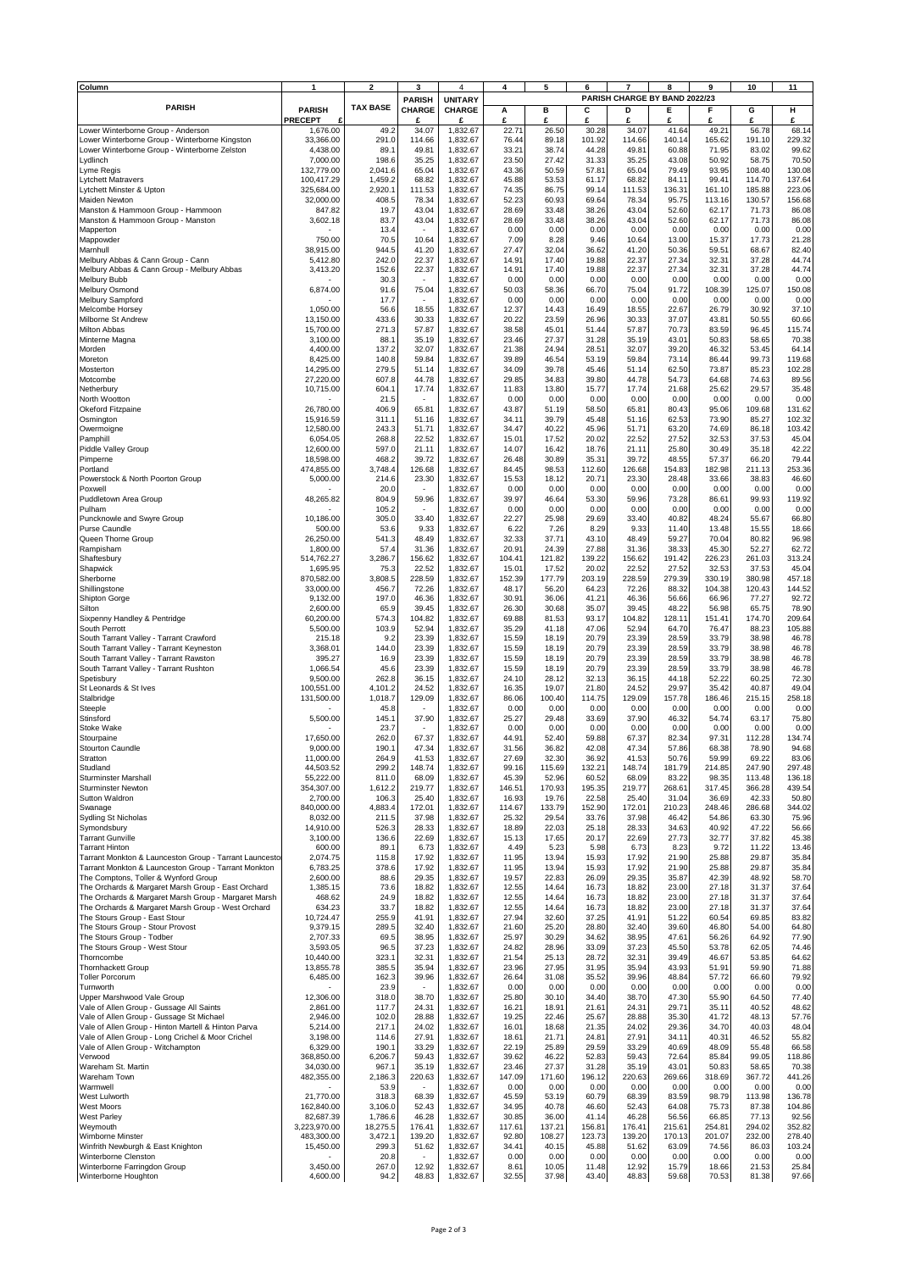| Column                                                                                                     |                          | $\overline{\mathbf{2}}$ | 3                                 | $\overline{a}$                  | 4               | 5               | ĥ               |                 | 8<br>PARISH CHARGE BY BAND 2022/23 | 9               | 10               | 11               |
|------------------------------------------------------------------------------------------------------------|--------------------------|-------------------------|-----------------------------------|---------------------------------|-----------------|-----------------|-----------------|-----------------|------------------------------------|-----------------|------------------|------------------|
| <b>PARISH</b>                                                                                              | <b>PARISH</b>            | <b>TAX BASE</b>         | <b>PARISH</b><br>CHARGE           | <b>UNITARY</b><br><b>CHARGE</b> | А               | в               | С               | D               | Е                                  | F               | G                | н                |
|                                                                                                            | <b>PRECEPT</b>           |                         | £                                 | £                               | £<br>22.7'      | £               | £               | £               | £                                  | £               | £                | £                |
| Lower Winterborne Group - Anderson<br>Lower Winterborne Group - Winterborne Kingston                       | 1,676.00<br>33,366.00    | 49.2<br>291.0           | 34.07<br>114.66                   | 1,832.67<br>1,832.67            | 76.44           | 26.50<br>89.18  | 30.28<br>101.92 | 34.07<br>114.66 | 41.64<br>140.14                    | 49.21<br>165.62 | 56.78<br>191.10  | 68.14<br>229.32  |
| Lower Winterborne Group - Winterborne Zelston                                                              | 4,438.00                 | 89.1                    | 49.81<br>35.25                    | 1,832.67                        | 33.21           | 38.74           | 44.28<br>31.33  | 49.81<br>35.25  | 60.88<br>43.08                     | 71.95<br>50.92  | 83.02<br>58.75   | 99.62<br>70.50   |
| Lydlinch<br>Lyme Regis                                                                                     | 7,000.00<br>132,779.00   | 198.6<br>2,041.6        | 65.04                             | 1,832.67<br>1,832.67            | 23.50<br>43.36  | 27.42<br>50.59  | 57.81           | 65.04           | 79.49                              | 93.95           | 108.40           | 130.08           |
| <b>Lytchett Matravers</b><br>Lytchett Minster & Upton                                                      | 100,417.29<br>325,684.00 | 1,459.2<br>2,920.1      | 68.82<br>111.53                   | 1,832.67<br>1,832.67            | 45.88<br>74.35  | 53.53<br>86.75  | 61.17<br>99.14  | 68.82<br>111.53 | 84.11<br>136.31                    | 99.41<br>161.10 | 114.70<br>185.88 | 137.64<br>223.06 |
| Maiden Newton                                                                                              | 32,000.00                | 408.5                   | 78.34                             | 1,832.67                        | 52.23           | 60.93           | 69.64           | 78.34           | 95.75                              | 113.16          | 130.57           | 156.68           |
| Manston & Hammoon Group - Hammoon<br>Manston & Hammoon Group - Manston                                     | 847.82<br>3,602.18       | 19.7<br>83.7            | 43.04<br>43.04                    | 1,832.67<br>1,832.67            | 28.69<br>28.69  | 33.48<br>33.48  | 38.26<br>38.26  | 43.04<br>43.04  | 52.60<br>52.60                     | 62.17<br>62.17  | 71.73<br>71.73   | 86.08<br>86.08   |
| Mapperton                                                                                                  |                          | 13.4                    | $\overline{\phantom{a}}$          | 1,832.67                        | 0.00            | 0.00            | 0.00            | 0.00            | 0.00                               | 0.00            | 0.00             | 0.00             |
| Mappowder<br>Marnhull                                                                                      | 750.00<br>38,915.00      | 70.5<br>944.5           | 10.64<br>41.20                    | 1,832.67<br>1,832.67            | 7.09<br>27.47   | 8.28<br>32.04   | 9.46<br>36.62   | 10.64<br>41.20  | 13.00<br>50.36                     | 15.37<br>59.51  | 17.73<br>68.67   | 21.28<br>82.40   |
| Melbury Abbas & Cann Group - Cann                                                                          | 5,412.80                 | 242.0                   | 22.37                             | 1,832.67                        | 14.91           | 17.40           | 19.88           | 22.37           | 27.34                              | 32.3'           | 37.28            | 44.74            |
| Melbury Abbas & Cann Group - Melbury Abbas<br><b>Melbury Bubb</b>                                          | 3,413.20                 | 152.6<br>30.3           | 22.37<br>٠                        | 1,832.67<br>1,832.67            | 14.91<br>0.00   | 17.40<br>0.00   | 19.88<br>0.00   | 22.37<br>0.00   | 27.34<br>0.00                      | 32.3'<br>0.00   | 37.28<br>0.00    | 44.74<br>0.00    |
| Melbury Osmond                                                                                             | 6.874.00                 | 91.6                    | 75.04                             | 1,832.67                        | 50.03           | 58.36           | 66.70           | 75.04           | 91.72                              | 108.39          | 125.07           | 150.08           |
| <b>Melbury Sampford</b><br>Melcombe Horsey                                                                 | 1,050.00                 | 17.7<br>56.6            | $\overline{\phantom{a}}$<br>18.55 | 1,832.67<br>1,832.67            | 0.00<br>12.37   | 0.00<br>14.43   | 0.00<br>16.49   | 0.00<br>18.55   | 0.00<br>22.67                      | 0.00<br>26.79   | 0.00<br>30.92    | 0.00<br>37.10    |
| Milborne St Andrew                                                                                         | 13,150.00                | 433.6                   | 30.33                             | 1,832.67                        | 20.22           | 23.59           | 26.96           | 30.33           | 37.07                              | 43.81           | 50.55            | 60.66            |
| Milton Abbas<br>Minterne Magna                                                                             | 15,700.00<br>3,100.00    | 271.3<br>88.1           | 57.87<br>35.19                    | 1,832.67<br>1,832.67            | 38.58<br>23.46  | 45.01<br>27.37  | 51.44<br>31.28  | 57.87<br>35.19  | 70.73<br>43.01                     | 83.59<br>50.83  | 96.45<br>58.65   | 115.74<br>70.38  |
| Morden<br>Moreton                                                                                          | 4,400.00<br>8,425.00     | 137.2<br>140.8          | 32.07<br>59.84                    | 1,832.67<br>1,832.67            | 21.38<br>39.89  | 24.94<br>46.54  | 28.51<br>53.19  | 32.07<br>59.84  | 39.20<br>73.14                     | 46.32<br>86.44  | 53.45<br>99.73   | 64.14<br>119.68  |
| Mosterton                                                                                                  | 14,295.00                | 279.5                   | 51.14                             | 1,832.67                        | 34.09           | 39.78           | 45.46           | 51.14           | 62.50                              | 73.87           | 85.23            | 102.28           |
| Motcombe<br>Netherbury                                                                                     | 27,220.00<br>10,715.00   | 607.8<br>604.1          | 44.78<br>17.74                    | 1,832.67<br>1,832.67            | 29.85<br>11.83  | 34.83<br>13.80  | 39.80<br>15.77  | 44.78<br>17.74  | 54.73<br>21.68                     | 64.68<br>25.62  | 74.63<br>29.57   | 89.56<br>35.48   |
| North Wootton                                                                                              |                          | 21.5                    | $\overline{\phantom{a}}$          | 1,832.67                        | 0.00            | 0.00            | 0.00            | 0.00            | 0.00                               | 0.00            | 0.00             | 0.00             |
| Okeford Fitzpaine<br>Osmington                                                                             | 26,780.00<br>15,916.59   | 406.9<br>311.1          | 65.81<br>51.16                    | 1,832.67<br>1,832.67            | 43.87<br>34.11  | 51.19<br>39.79  | 58.50<br>45.48  | 65.81<br>51.16  | 80.43<br>62.53                     | 95.06<br>73.90  | 109.68<br>85.27  | 131.62<br>102.32 |
| Owermoigne                                                                                                 | 12,580.00                | 243.3                   | 51.71                             | 1,832.67                        | 34.47           | 40.22           | 45.96           | 51.71           | 63.20                              | 74.69           | 86.18            | 103.42           |
| Pamphill<br><b>Piddle Valley Group</b>                                                                     | 6,054.05<br>12,600.00    | 268.8<br>597.0          | 22.52<br>21.11                    | 1,832.67<br>1,832.67            | 15.01<br>14.07  | 17.52<br>16.42  | 20.02<br>18.76  | 22.52<br>21.11  | 27.52<br>25.80                     | 32.53<br>30.49  | 37.53<br>35.18   | 45.04<br>42.22   |
| Pimperne                                                                                                   | 18,598.00                | 468.2                   | 39.72                             | 1,832.67                        | 26.48           | 30.89           | 35.31           | 39.72           | 48.55                              | 57.37           | 66.20            | 79.44            |
| Portland<br>Powerstock & North Poorton Group                                                               | 474,855.00<br>5,000.00   | 3,748.4<br>214.6        | 126.68<br>23.30                   | 1,832.67<br>1,832.67            | 84.45<br>15.53  | 98.53<br>18.12  | 112.60<br>20.71 | 126.68<br>23.30 | 154.83<br>28.48                    | 182.98<br>33.66 | 211.13<br>38.83  | 253.36<br>46.60  |
| Poxwell                                                                                                    |                          | 20.0                    |                                   | 1,832.67                        | 0.00            | 0.00            | 0.00            | 0.00            | 0.00                               | 0.00            | 0.00             | 0.00             |
| Puddletown Area Group<br>Pulham                                                                            | 48,265.82                | 804.9<br>105.2          | 59.96<br>$\overline{\phantom{a}}$ | 1,832.67<br>1,832.67            | 39.97<br>0.00   | 46.64<br>0.00   | 53.30<br>0.00   | 59.96<br>0.00   | 73.28<br>0.00                      | 86.61<br>0.00   | 99.93<br>0.00    | 119.92<br>0.00   |
| Puncknowle and Swyre Group                                                                                 | 10,186.00                | 305.0                   | 33.40                             | 1,832.67                        | 22.27           | 25.98           | 29.69           | 33.40           | 40.82                              | 48.24           | 55.67            | 66.80            |
| Purse Caundle<br>Queen Thorne Group                                                                        | 500.00<br>26,250.00      | 53.6<br>541.3           | 9.33<br>48.49                     | 1,832.67<br>1,832.67            | 6.22<br>32.33   | 7.26<br>37.71   | 8.29<br>43.10   | 9.33<br>48.49   | 11.40<br>59.27                     | 13.48<br>70.04  | 15.55<br>80.82   | 18.66<br>96.98   |
| Rampisham                                                                                                  | 1,800.00                 | 57.4                    | 31.36                             | 1,832.67                        | 20.91           | 24.39           | 27.88           | 31.36           | 38.33                              | 45.30           | 52.27            | 62.72            |
| Shaftesbury<br>Shapwick                                                                                    | 514,762.27<br>1,695.95   | 3,286.7<br>75.3         | 156.62<br>22.52                   | 1,832.67<br>1,832.67            | 104.41<br>15.01 | 121.82<br>17.52 | 139.22<br>20.02 | 156.62<br>22.52 | 191.42<br>27.52                    | 226.23<br>32.53 | 261.03<br>37.53  | 313.24<br>45.04  |
| Sherborne                                                                                                  | 870,582.00               | 3,808.5                 | 228.59                            | 1,832.67                        | 152.39          | 177.79          | 203.19          | 228.59          | 279.39                             | 330.19          | 380.98           | 457.18           |
| Shillingstone<br><b>Shipton Gorge</b>                                                                      | 33,000.00<br>9,132.00    | 456.7<br>197.0          | 72.26<br>46.36                    | 1,832.67<br>1,832.67            | 48.17<br>30.91  | 56.20<br>36.06  | 64.23<br>41.21  | 72.26<br>46.36  | 88.32<br>56.66                     | 104.38<br>66.96 | 120.43<br>77.27  | 144.52<br>92.72  |
| Silton                                                                                                     | 2,600.00                 | 65.9                    | 39.45                             | 1,832.67                        | 26.30           | 30.68           | 35.07           | 39.45           | 48.22                              | 56.98           | 65.75            | 78.90            |
| Sixpenny Handley & Pentridge<br>South Perrott                                                              | 60,200.00<br>5,500.00    | 574.3<br>103.9          | 104.82<br>52.94                   | 1,832.67<br>1,832.67            | 69.88<br>35.29  | 81.53<br>41.18  | 93.17<br>47.06  | 104.82<br>52.94 | 128.11<br>64.70                    | 151.41<br>76.47 | 174.70<br>88.23  | 209.64<br>105.88 |
| South Tarrant Valley - Tarrant Crawford                                                                    | 215.18                   | 9.2                     | 23.39                             | 1,832.67                        | 15.59           | 18.19           | 20.79           | 23.39           | 28.59                              | 33.79           | 38.98            | 46.78            |
| South Tarrant Valley - Tarrant Keyneston<br>South Tarrant Valley - Tarrant Rawston                         | 3,368.01<br>395.27       | 144.0<br>16.9           | 23.39<br>23.39                    | 1,832.67<br>1,832.67            | 15.59<br>15.59  | 18.19<br>18.19  | 20.79<br>20.79  | 23.39<br>23.39  | 28.59<br>28.59                     | 33.79<br>33.79  | 38.98<br>38.98   | 46.78<br>46.78   |
| South Tarrant Valley - Tarrant Rushton<br>Spetisbury                                                       | 1,066.54<br>9,500.00     | 45.6<br>262.8           | 23.39<br>36.15                    | 1,832.67<br>1,832.67            | 15.59<br>24.10  | 18.19<br>28.12  | 20.79<br>32.13  | 23.39<br>36.15  | 28.59<br>44.18                     | 33.79<br>52.22  | 38.98<br>60.25   | 46.78<br>72.30   |
| St Leonards & St Ives                                                                                      | 100,551.00               | 4,101.2                 | 24.52                             | 1,832.67                        | 16.35           | 19.07           | 21.80           | 24.52           | 29.97                              | 35.42           | 40.87            | 49.04            |
| Stalbridge<br>Steeple                                                                                      | 131,500.00               | 1,018.7<br>45.8         | 129.09                            | 1,832.67<br>1,832.67            | 86.06<br>0.00   | 100.40<br>0.00  | 114.75<br>0.00  | 129.09<br>0.00  | 157.78<br>0.00                     | 186.46<br>0.00  | 215.15<br>0.00   | 258.18<br>0.00   |
| Stinsford                                                                                                  | 5,500.00                 | 145.1                   | 37.90                             | 1,832.67                        | 25.27           | 29.48           | 33.69           | 37.90           | 46.32                              | 54.74           | 63.17            | 75.80            |
| <b>Stoke Wake</b><br>Stourpaine                                                                            | 17,650.00                | 23.7<br>262.0           | ÷.<br>67.37                       | 1,832.67<br>1,832.67            | 0.00<br>44.91   | 0.00<br>52.40   | 0.00<br>59.88   | 0.00<br>67.37   | 0.00<br>82.34                      | 0.00<br>97.31   | 0.00<br>112.28   | 0.00<br>134.74   |
| Stourton Caundle                                                                                           | 9,000.00                 | 190.1                   | 47.34                             | 1,832.67                        | 31.56           | 36.82           | 42.08           | 47.34           | 57.86                              | 68.38           | 78.90            | 94.68            |
| Stratton<br>Studland                                                                                       | 11,000.00<br>44,503.52   | 264.9<br>299.2          | 41.53<br>148.74                   | 1,832.67<br>1,832.67            | 27.69<br>99.16  | 32.30<br>115.69 | 36.92<br>132.21 | 41.53<br>148.74 | 50.76<br>181.79                    | 59.99<br>214.85 | 69.22<br>247.90  | 83.06<br>297.48  |
| Sturminster Marshall                                                                                       | 55,222.00                | 811.0                   | 68.09                             | 1,832.67                        | 45.39           | 52.96           | 60.52           | 68.09           | 83.22                              | 98.35           | 113.48           | 136.18           |
| <b>Sturminster Newton</b><br>Sutton Waldron                                                                | 354,307.00<br>2,700.00   | 1,612.2<br>106.3        | 219.77<br>25.40                   | 1,832.67<br>1,832.67            | 146.51<br>16.93 | 170.93<br>19.76 | 195.35<br>22.58 | 219.77<br>25.40 | 268.61<br>31.04                    | 317.45<br>36.69 | 366.28<br>42.33  | 439.54<br>50.80  |
| Swanage                                                                                                    | 840,000.00               | 4,883.4                 | 172.01                            | 1,832.67                        | 114.67          | 133.79          | 152.90          | 172.01          | 210.23                             | 248.46          | 286.68           | 344.02           |
| Sydling St Nicholas<br>Symondsbury                                                                         | 8,032.00<br>14,910.00    | 211.5<br>526.3          | 37.98<br>28.33                    | 1,832.67<br>1,832.67            | 25.32<br>18.89  | 29.54<br>22.03  | 33.76<br>25.18  | 37.98<br>28.33  | 46.42<br>34.63                     | 54.86<br>40.92  | 63.30<br>47.22   | 75.96<br>56.66   |
| <b>Tarrant Gunville</b><br><b>Tarrant Hinton</b>                                                           | 3,100.00<br>600.00       | 136.6<br>89.1           | 22.69<br>6.73                     | 1,832.67<br>1,832.67            | 15.13<br>4.49   | 17.65<br>5.23   | 20.17<br>5.98   | 22.69           | 27.73                              | 32.77<br>9.72   | 37.82<br>11.22   | 45.38<br>13.46   |
| Tarrant Monkton & Launceston Group - Tarrant Launcesto                                                     | 2.074.75                 | 115.8                   | 17.92                             | 1,832.67                        | 11.95           | 13.94           | 15.93           | 6.73<br>17.92   | 8.23<br>21.90                      | 25.88           | 29.87            | 35.84            |
| Tarrant Monkton & Launceston Group - Tarrant Monkton<br>The Comptons, Toller & Wynford Group               | 6,783.25<br>2,600.00     | 378.6<br>88.6           | 17.92<br>29.35                    | 1,832.67<br>1,832.67            | 11.95<br>19.57  | 13.94<br>22.83  | 15.93<br>26.09  | 17.92<br>29.35  | 21.90<br>35.87                     | 25.88<br>42.39  | 29.87<br>48.92   | 35.84<br>58.70   |
| The Orchards & Margaret Marsh Group - East Orchard                                                         | 1,385.15                 | 73.6                    | 18.82                             | 1,832.67                        | 12.55           | 14.64           | 16.73           | 18.82           | 23.00                              | 27.18           | 31.37            | 37.64            |
| The Orchards & Margaret Marsh Group - Margaret Marsh<br>The Orchards & Margaret Marsh Group - West Orchard | 468.62<br>634.23         | 24.9<br>33.7            | 18.82<br>18.82                    | 1,832.67<br>1,832.67            | 12.55<br>12.55  | 14.64<br>14.64  | 16.73<br>16.73  | 18.82<br>18.82  | 23.00<br>23.00                     | 27.18<br>27.18  | 31.37<br>31.37   | 37.64<br>37.64   |
| The Stours Group - East Stour                                                                              | 10,724.47                | 255.9                   | 41.91                             | 1,832.67                        | 27.94           | 32.60           | 37.25           | 41.91           | 51.22                              | 60.54           | 69.85            | 83.82            |
| The Stours Group - Stour Provost<br>The Stours Group - Todber                                              | 9,379.15<br>2,707.33     | 289.5<br>69.5           | 32.40<br>38.95                    | 1,832.67<br>1,832.67            | 21.60<br>25.97  | 25.20<br>30.29  | 28.80<br>34.62  | 32.40<br>38.95  | 39.60<br>47.61                     | 46.80<br>56.26  | 54.00<br>64.92   | 64.80<br>77.90   |
| The Stours Group - West Stour                                                                              | 3,593.05                 | 96.5                    | 37.23                             | 1,832.67                        | 24.82           | 28.96           | 33.09           | 37.23           | 45.50                              | 53.78           | 62.05            | 74.46            |
| Thorncombe<br><b>Thornhackett Group</b>                                                                    | 10,440.00<br>13,855.78   | 323.1<br>385.5          | 32.31<br>35.94                    | 1,832.67<br>1,832.67            | 21.54<br>23.96  | 25.13<br>27.95  | 28.72<br>31.95  | 32.31<br>35.94  | 39.49<br>43.93                     | 46.67<br>51.91  | 53.85<br>59.90   | 64.62<br>71.88   |
| <b>Toller Porcorum</b>                                                                                     | 6,485.00                 | 162.3                   | 39.96                             | 1,832.67                        | 26.64           | 31.08           | 35.52           | 39.96           | 48.84                              | 57.72           | 66.60            | 79.92            |
| Turnworth<br>Upper Marshwood Vale Group                                                                    | 12,306.00                | 23.9<br>318.0           | $\sim$<br>38.70                   | 1,832.67<br>1,832.67            | 0.00<br>25.80   | 0.00<br>30.10   | 0.00<br>34.40   | 0.00<br>38.70   | 0.00<br>47.30                      | 0.00<br>55.90   | 0.00<br>64.50    | 0.00<br>77.40    |
| Vale of Allen Group - Gussage All Saints                                                                   | 2,861.00                 | 117.7                   | 24.31                             | 1,832.67                        | 16.21           | 18.91           | 21.61           | 24.31           | 29.71                              | 35.11           | 40.52            | 48.62            |
| Vale of Allen Group - Gussage St Michael<br>Vale of Allen Group - Hinton Martell & Hinton Parva            | 2,946.00<br>5,214.00     | 102.0<br>217.1          | 28.88<br>24.02                    | 1,832.67<br>1,832.67            | 19.25<br>16.01  | 22.46<br>18.68  | 25.67<br>21.35  | 28.88<br>24.02  | 35.30<br>29.36                     | 41.72<br>34.70  | 48.13<br>40.03   | 57.76<br>48.04   |
| Vale of Allen Group - Long Crichel & Moor Crichel                                                          | 3,198.00                 | 114.6                   | 27.91                             | 1,832.67                        | 18.61           | 21.71           | 24.81           | 27.91           | 34.11                              | 40.31           | 46.52            | 55.82            |
| Vale of Allen Group - Witchampton<br>Verwood                                                               | 6,329.00<br>368,850.00   | 190.1<br>6,206.7        | 33.29<br>59.43                    | 1,832.67<br>1,832.67            | 22.19<br>39.62  | 25.89<br>46.22  | 29.59<br>52.83  | 33.29<br>59.43  | 40.69<br>72.64                     | 48.09<br>85.84  | 55.48<br>99.05   | 66.58<br>118.86  |
| Wareham St. Martin                                                                                         | 34,030.00                | 967.1                   | 35.19                             | 1,832.67                        | 23.46           | 27.37           | 31.28           | 35.19           | 43.01                              | 50.83           | 58.65            | 70.38            |
| Wareham Town<br>Warmwell                                                                                   | 482,355.00               | 2,186.3<br>53.9         | 220.63<br>٠                       | 1,832.67<br>1,832.67            | 147.09<br>0.00  | 171.60<br>0.00  | 196.12<br>0.00  | 220.63<br>0.00  | 269.66<br>0.00                     | 318.69<br>0.00  | 367.72<br>0.00   | 441.26<br>0.00   |
| West Lulworth                                                                                              | 21,770.00                | 318.3                   | 68.39                             | 1,832.67                        | 45.59           | 53.19           | 60.79           | 68.39           | 83.59                              | 98.79           | 113.98           | 136.78           |
| <b>West Moors</b><br><b>West Parley</b>                                                                    | 162,840.00<br>82,687.39  | 3,106.0<br>1,786.6      | 52.43<br>46.28                    | 1,832.67<br>1,832.67            | 34.95<br>30.85  | 40.78<br>36.00  | 46.60<br>41.14  | 52.43<br>46.28  | 64.08<br>56.56                     | 75.73<br>66.85  | 87.38<br>77.13   | 104.86<br>92.56  |
| Weymouth                                                                                                   | 3,223,970.00             | 18,275.5                | 176.41                            | 1,832.67                        | 117.61          | 137.21          | 156.81          | 176.41          | 215.61                             | 254.81          | 294.02           | 352.82           |
| Wimborne Minster<br>Winfrith Newburgh & East Knighton                                                      | 483,300.00<br>15,450.00  | 3,472.1<br>299.3        | 139.20<br>51.62                   | 1,832.67<br>1,832.67            | 92.80<br>34.41  | 108.27<br>40.15 | 123.73<br>45.88 | 139.20<br>51.62 | 170.13<br>63.09                    | 201.07<br>74.56 | 232.00<br>86.03  | 278.40<br>103.24 |
| Winterborne Clenston<br>Winterborne Farringdon Group                                                       | 3,450.00                 | 20.8<br>267.0           | $\overline{\phantom{a}}$<br>12.92 | 1,832.67<br>1,832.67            | 0.00<br>8.61    | 0.00<br>10.05   | 0.00            | 0.00<br>12.92   | 0.00<br>15.79                      | 0.00<br>18.66   | 0.00<br>21.53    | 0.00<br>25.84    |
| Winterborne Houghton                                                                                       | 4,600.00                 | 94.2                    | 48.83                             | 1,832.67                        | 32.55           | 37.98           | 11.48<br>43.40  | 48.83           | 59.68                              | 70.53           | 81.38            | 97.66            |